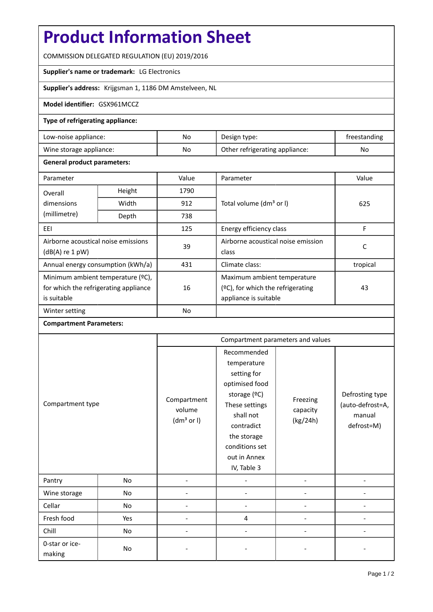# **Product Information Sheet**

COMMISSION DELEGATED REGULATION (EU) 2019/2016

## **Supplier's name or trademark:** LG Electronics

**Supplier's address:** Krijgsman 1, 1186 DM Amstelveen, NL

#### **Model identifier:** GSX961MCCZ

#### **Type of refrigerating appliance:**

| Low-noise appliance:    | No | Design type:                   | freestanding |
|-------------------------|----|--------------------------------|--------------|
| Wine storage appliance: | No | Other refrigerating appliance: | No           |

#### **General product parameters:**

| Parameter                             |                | Value     | Parameter                            | Value    |  |
|---------------------------------------|----------------|-----------|--------------------------------------|----------|--|
| Overall                               | Height<br>1790 |           |                                      |          |  |
| dimensions                            | Width          | 912       | Total volume (dm <sup>3</sup> or I)  | 625      |  |
| (millimetre)                          | Depth          | 738       |                                      |          |  |
| EEI                                   |                | 125       | Energy efficiency class              | F        |  |
| Airborne acoustical noise emissions   |                | 39        | Airborne acoustical noise emission   | с        |  |
| $(dB(A)$ re 1 pW)                     |                |           | class                                |          |  |
| Annual energy consumption (kWh/a)     |                | 431       | Climate class:                       | tropical |  |
| Minimum ambient temperature (°C),     |                |           | Maximum ambient temperature          |          |  |
| for which the refrigerating appliance |                | 16        | $(°C)$ , for which the refrigerating | 43       |  |
| is suitable                           |                |           | appliance is suitable                |          |  |
| Winter setting                        |                | <b>No</b> |                                      |          |  |

### **Compartment Parameters:**

| Compartment type         |     | Compartment parameters and values               |                                                                                                                                                                                          |                                  |                                                             |
|--------------------------|-----|-------------------------------------------------|------------------------------------------------------------------------------------------------------------------------------------------------------------------------------------------|----------------------------------|-------------------------------------------------------------|
|                          |     | Compartment<br>volume<br>(dm <sup>3</sup> or I) | Recommended<br>temperature<br>setting for<br>optimised food<br>storage (°C)<br>These settings<br>shall not<br>contradict<br>the storage<br>conditions set<br>out in Annex<br>IV, Table 3 | Freezing<br>capacity<br>(kg/24h) | Defrosting type<br>(auto-defrost=A,<br>manual<br>defrost=M) |
| Pantry                   | No  |                                                 |                                                                                                                                                                                          |                                  |                                                             |
| Wine storage             | No  |                                                 |                                                                                                                                                                                          |                                  |                                                             |
| Cellar                   | No  |                                                 |                                                                                                                                                                                          |                                  |                                                             |
| Fresh food               | Yes |                                                 | 4                                                                                                                                                                                        |                                  |                                                             |
| Chill                    | No  |                                                 |                                                                                                                                                                                          |                                  |                                                             |
| 0-star or ice-<br>making | No  |                                                 |                                                                                                                                                                                          |                                  |                                                             |